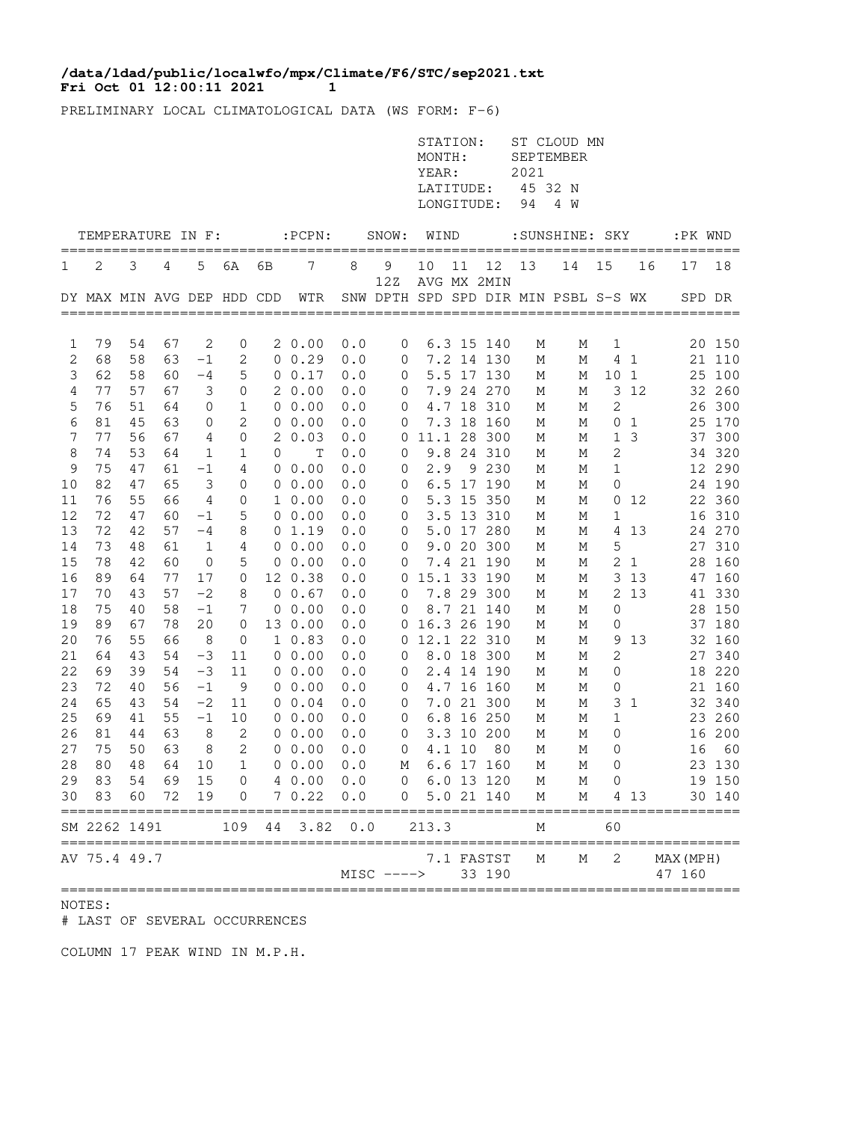## **Fri Oct 01 12:00:11 2021 11 /data/ldad/public/localwfo/mpx/Climate/F6/STC/sep2021.txt**

PRELIMINARY LOCAL CLIMATOLOGICAL DATA (WS FORM: F-6)

|          |                            |          |          |          |                               |    |                        |            |                               | STATION:<br>MONTH:<br>YEAR:<br>LATITUDE:<br>LONGITUDE: |        |                            | 2021<br>94 | ST CLOUD MN<br><b>SEPTEMBER</b><br>45 32 N<br>4 W |              |                            |                     |                  |
|----------|----------------------------|----------|----------|----------|-------------------------------|----|------------------------|------------|-------------------------------|--------------------------------------------------------|--------|----------------------------|------------|---------------------------------------------------|--------------|----------------------------|---------------------|------------------|
|          | TEMPERATURE IN F:          |          |          |          |                               |    | $:$ PCPN $:$           |            | SNOW:                         | WIND                                                   |        |                            |            | :SUNSHINE: SKY                                    |              |                            | :PK WND             |                  |
| 1        | 2                          | 3        | 4        | 5        | 6A                            | 6В | 7                      | 8          | 9                             | 10                                                     | 11     | 12                         | 13         | 14                                                | 15           | 16                         | 17                  | ====<br>18       |
|          | DY MAX MIN AVG DEP HDD CDD |          |          |          |                               |    | WTR                    |            | 12Z                           |                                                        |        | AVG MX 2MIN                |            | SNW DPTH SPD SPD DIR MIN PSBL S-S WX              |              |                            | SPD DR              |                  |
| 1        | 79                         | 54       | 67       | 2        | 0                             |    | 20.00                  | 0.0        | 0                             |                                                        |        | 6.3 15 140                 | М          | Μ                                                 | 1            |                            |                     | 20 150           |
| 2        | 68                         | 58       | 63       | $-1$     | 2                             |    | $0 \t 0.29$            | 0.0        | 0                             |                                                        |        | 7.2 14 130                 | М          | М                                                 |              | 4 <sub>1</sub>             |                     | 21 110           |
| 3        | 62                         | 58       | 60       | -4       | 5                             |    | 0 0.17                 | 0.0        | 0                             |                                                        |        | 5.5 17 130                 | М          | М                                                 | 10           | 1                          | 25                  | 100              |
| 4        | 77                         | 57       | 67       | 3        | $\mathbf 0$                   |    | 20.00                  | 0.0        | 0                             |                                                        |        | 7.9 24 270                 | М          | М                                                 | 3            | 12                         |                     | 32 260           |
| 5        | 76                         | 51       | 64       | 0        | 1                             |    | 00.00                  | 0.0        | 0                             |                                                        |        | 4.7 18 310                 | М          | М                                                 | 2            |                            | 26                  | 300              |
| 6        | 81                         | 45       | 63       | 0        | 2                             | 0  | 0.00                   | 0.0        | 0                             |                                                        |        | 7.3 18 160                 | М          | М                                                 | 0            | $\mathbf{1}$               | 25                  | 170              |
| 7        | 77                         | 56       | 67       | 4        | 0                             | 2  | 0.03                   | 0.0        | 0                             |                                                        |        | 11.1 28 300                | М          | М                                                 | $\mathbf{1}$ | 3                          | 37                  | 300              |
| 8        | 74                         | 53       | 64       | 1        | 1                             | 0  | T                      | 0.0        | 0                             |                                                        |        | 9.8 24 310                 | М          | М                                                 | 2            |                            |                     | 34 320           |
| 9<br>10  | 75<br>82                   | 47<br>47 | 61<br>65 | -1<br>3  | 4<br>0                        | 0  | 0.00<br>$0\;\;0.00$    | 0.0<br>0.0 | 0<br>0                        | 2.9                                                    |        | 9 2 3 0<br>6.5 17 190      | М<br>М     | М<br>М                                            | 1<br>0       |                            |                     | 12 290<br>24 190 |
| 11       | 76                         | 55       | 66       | 4        | 0                             |    | $1\;\;0.00$            | 0.0        | 0                             |                                                        |        | 5.3 15 350                 | Μ          | Μ                                                 | 0            | 12                         |                     | 22 360           |
| 12       | 72                         | 47       | 60       | $-1$     | 5                             |    | $0\;\;0.00$            | 0.0        | 0                             |                                                        |        | 3.5 13 310                 | М          | М                                                 | $\mathbf 1$  |                            | 16                  | 310              |
| 13       | 72                         | 42       | 57       | $-4$     | 8                             |    | 01.19                  | 0.0        | 0                             |                                                        |        | 5.0 17 280                 | М          | Μ                                                 | 4            | 13                         |                     | 24 270           |
| 14       | 73                         | 48       | 61       | 1        | 4                             |    | $0\;\;0.00$            | 0.0        | 0                             |                                                        |        | 9.0 20 300                 | М          | М                                                 | 5            |                            | 27                  | 310              |
| 15       | 78                         | 42       | 60       | 0        | 5                             |    | $0\;\;0.00$            | 0.0        | 0                             |                                                        |        | 7.4 21 190                 | М          | М                                                 | 2            | 1                          | 28                  | 160              |
| 16       | 89                         | 64       | 77       | 17       | 0                             |    | 12 0.38                | 0.0        | 0                             |                                                        |        | 15.1 33 190                | М          | М                                                 | 3            | 13                         | 47                  | 160              |
| 17       | 70                         | 43       | 57       | $-2$     | 8                             |    | $0 \t0.67$             | 0.0        | 0                             |                                                        |        | 7.8 29 300                 | М          | Μ                                                 | 2            | 13                         |                     | 41 330           |
| 18       | 75                         | 40       | 58       | $-1$     | 7                             | 0  | 0.00                   | 0.0        | 0                             |                                                        |        | 8.7 21 140                 | М          | М                                                 | 0            |                            | 28                  | 150              |
| 19<br>20 | 89<br>76                   | 67<br>55 | 78<br>66 | 20<br>8  | $\mathbf 0$<br>$\mathbf 0$    |    | 13 0.00<br>$1\;\;0.83$ | 0.0<br>0.0 | 0<br>0                        |                                                        |        | 16.3 26 190<br>12.1 22 310 | М<br>М     | Μ<br>М                                            | 0<br>9       | 13                         |                     | 37 180<br>32 160 |
| 21       | 64                         | 43       | 54       | $-3$     | 11                            |    | $0\;\;0.00$            | 0.0        | 0                             |                                                        |        | 8.0 18 300                 | М          | М                                                 | 2            |                            |                     | 27 340           |
| 22       | 69                         | 39       | 54       | $-3$     | 11                            |    | $0\;\;0.00$            | 0.0        | 0                             |                                                        |        | 2.4 14 190                 | М          | М                                                 | 0            |                            |                     | 18 220           |
| 23       | 72                         | 40       | 56       | $-1$     | 9                             |    | $0\;\;0.00$            | 0.0        | 0                             |                                                        |        | 4.7 16 160                 | М          | М                                                 | 0            |                            |                     | 21 160           |
| 24       | 65                         | 43       | 54       | $-2$     | 11                            |    | $0 \t 0.04$            | 0.0        | 0                             |                                                        |        | 7.0 21 300                 | М          | М                                                 | 3            | 1                          |                     | 32 340           |
| 25       | 69                         | 41       | 55       | $-1$     | 10                            |    | 0 0.00                 | 0.0        | 0                             |                                                        |        | 6.8 16 250                 | М          | М                                                 | 1            |                            |                     | 23 260           |
| 26       | 81                         | 44       | 63       | 8        | 2                             |    | $0\;\;0.00$            | 0.0        | 0                             |                                                        |        | 3.3 10 200                 | М          | М                                                 | 0            |                            |                     | 16 200           |
| 27       | 75                         | 50       | 63       | 8        | $\mathbf{2}$                  | 0  | 0.00                   | 0.0        | 0                             |                                                        | 4.1 10 | 80                         | М          | М                                                 | 0            |                            | 16                  | 60               |
| 28       | 80                         | 48       | 64       | 10       | $\mathbf{1}$                  |    | 00.00                  | 0.0        | М                             |                                                        |        | 6.6 17 160                 | М          | М                                                 | 0            |                            |                     | 23 130           |
| 29<br>30 | 83<br>83                   | 54<br>60 | 69<br>72 | 15<br>19 | $\overline{0}$<br>$\mathbf 0$ |    | 4 0.00 0.0<br>70.22    | 0.0        | $0\quad 6.0\quad 13\quad 120$ | $\overline{0}$                                         |        | 5.0 21 140                 | М<br>М     | М<br>М                                            |              | $0 \qquad \qquad$<br>4 1 3 |                     | 19 150<br>30 140 |
|          | SM 2262 1491               |          |          |          | 109                           | 44 | 3.82                   | 0.0        |                               | 213.3                                                  |        |                            | Μ          |                                                   | 60           |                            |                     |                  |
|          | :=========<br>AV 75.4 49.7 |          |          |          |                               |    |                        |            | $MISC$ ---->                  |                                                        |        | 7.1 FASTST<br>33 190       | Μ          | М                                                 | 2            |                            | MAX (MPH)<br>47 160 |                  |

## NOTES:

# LAST OF SEVERAL OCCURRENCES

COLUMN 17 PEAK WIND IN M.P.H.